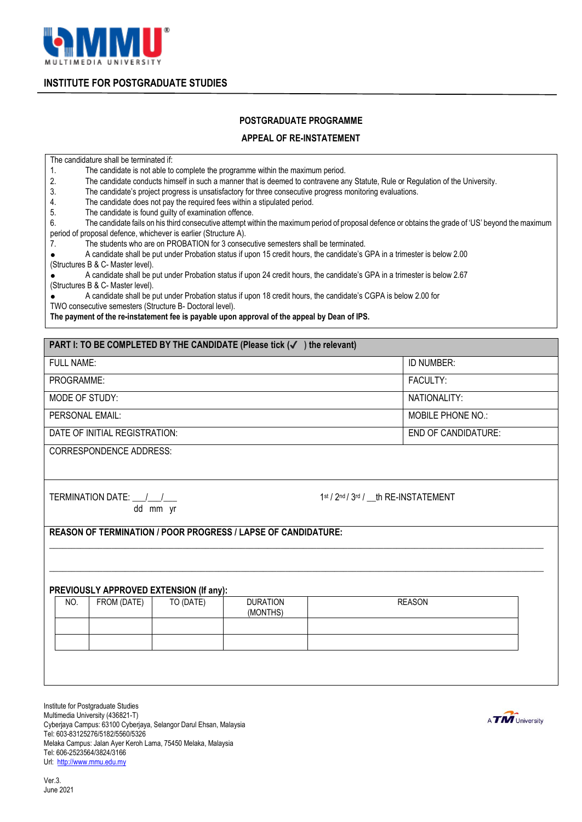

**INSTITUTE FOR POSTGRADUATE STUDIES**

## **POSTGRADUATE PROGRAMME**

## **APPEAL OF RE-INSTATEMENT**

The candidature shall be terminated if:

1. The candidate is not able to complete the programme within the maximum period.

2. The candidate conducts himself in such a manner that is deemed to contravene any Statute, Rule or Regulation of the University.

3. The candidate's project progress is unsatisfactory for three consecutive progress monitoring evaluations.

4. The candidate does not pay the required fees within a stipulated period.<br>5 The candidate is found quilty of examination offence

The candidate is found guilty of examination offence.

6. The candidate fails on his third consecutive attempt within the maximum period of proposal defence or obtains the grade of 'US' beyond the maximum period of proposal defence, whichever is earlier (Structure A).

7. The students who are on PROBATION for 3 consecutive semesters shall be terminated.

● A candidate shall be put under Probation status if upon 15 credit hours, the candidate's GPA in a trimester is below 2.00 (Structures B & C- Master level).

● A candidate shall be put under Probation status if upon 24 credit hours, the candidate's GPA in a trimester is below 2.67 (Structures B & C- Master level).

● A candidate shall be put under Probation status if upon 18 credit hours, the candidate's CGPA is below 2.00 for

TWO consecutive semesters (Structure B- Doctoral level).

**The payment of the re-instatement fee is payable upon approval of the appeal by Dean of IPS.**

| PART I: TO BE COMPLETED BY THE CANDIDATE (Please tick (√<br>the relevant)                                                                                                                                                                                                                                                                                                                                                |                            |  |
|--------------------------------------------------------------------------------------------------------------------------------------------------------------------------------------------------------------------------------------------------------------------------------------------------------------------------------------------------------------------------------------------------------------------------|----------------------------|--|
| <b>FULL NAME:</b>                                                                                                                                                                                                                                                                                                                                                                                                        | ID NUMBER:                 |  |
| PROGRAMME:                                                                                                                                                                                                                                                                                                                                                                                                               | FACULTY:                   |  |
| MODE OF STUDY:                                                                                                                                                                                                                                                                                                                                                                                                           | NATIONALITY:               |  |
| PERSONAL EMAIL:                                                                                                                                                                                                                                                                                                                                                                                                          | MOBILE PHONE NO.:          |  |
| DATE OF INITIAL REGISTRATION:                                                                                                                                                                                                                                                                                                                                                                                            | <b>END OF CANDIDATURE:</b> |  |
| $\begin{array}{c} \n \texttt{A} \texttt{A} \texttt{B} \texttt{B} \texttt{B} \texttt{A} \texttt{A} \texttt{B} \texttt{B} \texttt{B} \texttt{B} \texttt{B} \texttt{B} \texttt{B} \texttt{B} \texttt{B} \texttt{B} \texttt{B} \texttt{B} \texttt{B} \texttt{B} \texttt{B} \texttt{B} \texttt{B} \texttt{B} \texttt{B} \texttt{B} \texttt{B} \texttt{B} \texttt{B} \texttt{B} \texttt{B} \texttt{B} \texttt{B} \texttt{B} \$ |                            |  |

CORRESPONDENCE ADDRESS:

TERMINATION DATE: / dd mm yr 1st / 2nd / 3rd / th RE-INSTATEMENT

**REASON OF TERMINATION / POOR PROGRESS / LAPSE OF CANDIDATURE:**

## **PREVIOUSLY APPROVED EXTENSION (If any):**

| NO. | FROM (DATE) | TO (DATE) | <b>DURATION</b><br>(MONTHS) | <b>REASON</b> |
|-----|-------------|-----------|-----------------------------|---------------|
|     |             |           |                             |               |
|     |             |           |                             |               |

 $\_$  ,  $\_$  ,  $\_$  ,  $\_$  ,  $\_$  ,  $\_$  ,  $\_$  ,  $\_$  ,  $\_$  ,  $\_$  ,  $\_$  ,  $\_$  ,  $\_$  ,  $\_$  ,  $\_$  ,  $\_$  ,  $\_$  ,  $\_$  ,  $\_$  ,  $\_$  ,  $\_$  ,  $\_$  ,  $\_$  ,  $\_$  ,  $\_$  ,  $\_$  ,  $\_$  ,  $\_$  ,  $\_$  ,  $\_$  ,  $\_$  ,  $\_$  ,  $\_$  ,  $\_$  ,  $\_$  ,  $\_$  ,  $\_$  ,

 $\_$  ,  $\_$  ,  $\_$  ,  $\_$  ,  $\_$  ,  $\_$  ,  $\_$  ,  $\_$  ,  $\_$  ,  $\_$  ,  $\_$  ,  $\_$  ,  $\_$  ,  $\_$  ,  $\_$  ,  $\_$  ,  $\_$  ,  $\_$  ,  $\_$  ,  $\_$  ,  $\_$  ,  $\_$  ,  $\_$  ,  $\_$  ,  $\_$  ,  $\_$  ,  $\_$  ,  $\_$  ,  $\_$  ,  $\_$  ,  $\_$  ,  $\_$  ,  $\_$  ,  $\_$  ,  $\_$  ,  $\_$  ,  $\_$  ,

Institute for Postgraduate Studies Multimedia University (436821-T) Cyberjaya Campus: 63100 Cyberjaya, Selangor Darul Ehsan, Malaysia Tel: 603-83125276/5182/5560/5326 Melaka Campus: Jalan Ayer Keroh Lama, 75450 Melaka, Malaysia Tel: 606-2523564/3824/3166 Url: [http://www.mmu.edu.my](http://www.mmu.edu.my/)

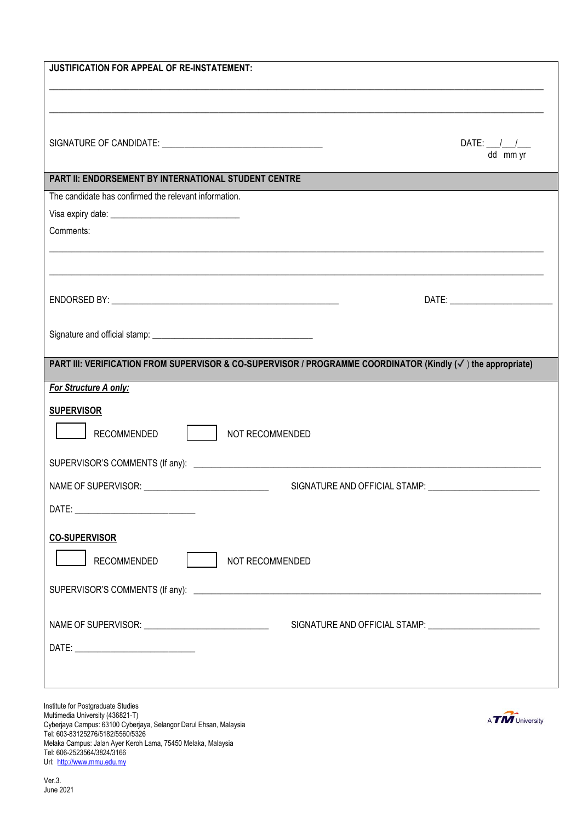| JUSTIFICATION FOR APPEAL OF RE-INSTATEMENT:                                                                                                                                                                                                     |                                                     |
|-------------------------------------------------------------------------------------------------------------------------------------------------------------------------------------------------------------------------------------------------|-----------------------------------------------------|
|                                                                                                                                                                                                                                                 | DATE: $\_\_\_\_\_\_\_\_\_\_\_\_\_\_\_\$<br>dd mm yr |
| PART II: ENDORSEMENT BY INTERNATIONAL STUDENT CENTRE                                                                                                                                                                                            |                                                     |
| The candidate has confirmed the relevant information.                                                                                                                                                                                           |                                                     |
|                                                                                                                                                                                                                                                 |                                                     |
| Comments:                                                                                                                                                                                                                                       |                                                     |
|                                                                                                                                                                                                                                                 |                                                     |
|                                                                                                                                                                                                                                                 |                                                     |
|                                                                                                                                                                                                                                                 |                                                     |
| PART III: VERIFICATION FROM SUPERVISOR & CO-SUPERVISOR / PROGRAMME COORDINATOR (Kindly $(\checkmark)$ ) the appropriate)                                                                                                                        |                                                     |
| For Structure A only:                                                                                                                                                                                                                           |                                                     |
| <b>SUPERVISOR</b><br><b>RECOMMENDED</b><br>NOT RECOMMENDED                                                                                                                                                                                      |                                                     |
|                                                                                                                                                                                                                                                 |                                                     |
|                                                                                                                                                                                                                                                 |                                                     |
| <b>CO-SUPERVISOR</b><br><b>RECOMMENDED</b><br>NOT RECOMMENDED                                                                                                                                                                                   |                                                     |
|                                                                                                                                                                                                                                                 |                                                     |
| Institute for Postgraduate Studies<br>Multimedia University (436821-T)<br>Cyberjaya Campus: 63100 Cyberjaya, Selangor Darul Ehsan, Malaysia<br>Tel: 603-83125276/5182/5560/5326<br>Melaka Campus: Jalan Ayer Keroh Lama, 75450 Melaka, Malaysia | A <b>TM</b> University                              |

Tel: 606-2523564/3824/3166 Url: [http://www.mmu.edu.my](http://www.mmu.edu.my/)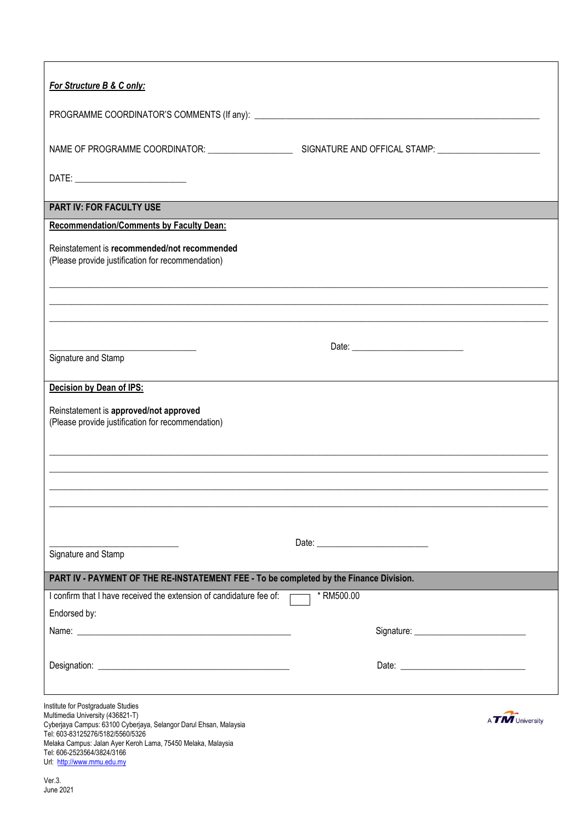| For Structure B & C only:                                                                                                                                    |                 |
|--------------------------------------------------------------------------------------------------------------------------------------------------------------|-----------------|
|                                                                                                                                                              |                 |
|                                                                                                                                                              |                 |
|                                                                                                                                                              |                 |
| PART IV: FOR FACULTY USE                                                                                                                                     |                 |
| <b>Recommendation/Comments by Faculty Dean:</b>                                                                                                              |                 |
| Reinstatement is recommended/not recommended<br>(Please provide justification for recommendation)                                                            |                 |
|                                                                                                                                                              |                 |
|                                                                                                                                                              |                 |
|                                                                                                                                                              |                 |
| Signature and Stamp                                                                                                                                          |                 |
| Decision by Dean of IPS:                                                                                                                                     |                 |
| Reinstatement is approved/not approved<br>(Please provide justification for recommendation)                                                                  |                 |
|                                                                                                                                                              |                 |
|                                                                                                                                                              |                 |
|                                                                                                                                                              |                 |
|                                                                                                                                                              |                 |
| Signature and Stamp                                                                                                                                          |                 |
| PART IV - PAYMENT OF THE RE-INSTATEMENT FEE - To be completed by the Finance Division.                                                                       |                 |
| I confirm that I have received the extension of candidature fee of:                                                                                          | * RM500.00      |
| Endorsed by:                                                                                                                                                 |                 |
|                                                                                                                                                              |                 |
|                                                                                                                                                              |                 |
|                                                                                                                                                              |                 |
| Institute for Postgraduate Studies<br>Multimedia University (436821-T)<br>Cyberjaya Campus: 63100 Cyberjaya, Selangor Darul Ehsan, Malaysia                  | A TM University |
| Tel: 603-83125276/5182/5560/5326<br>Melaka Campus: Jalan Ayer Keroh Lama, 75450 Melaka, Malaysia<br>Tel: 606-2523564/3824/3166<br>Url: http://www.mmu.edu.my |                 |